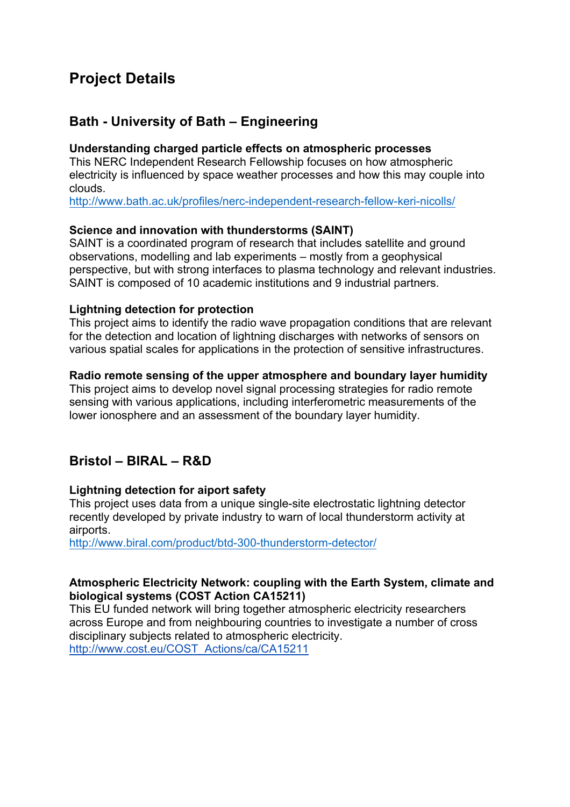# **Project Details**

# **Bath - University of Bath – Engineering**

#### **Understanding charged particle effects on atmospheric processes**

This NERC Independent Research Fellowship focuses on how atmospheric electricity is influenced by space weather processes and how this may couple into clouds.

http://www.bath.ac.uk/profiles/nerc-independent-research-fellow-keri-nicolls/

### **Science and innovation with thunderstorms (SAINT)**

SAINT is a coordinated program of research that includes satellite and ground observations, modelling and lab experiments – mostly from a geophysical perspective, but with strong interfaces to plasma technology and relevant industries. SAINT is composed of 10 academic institutions and 9 industrial partners.

### **Lightning detection for protection**

This project aims to identify the radio wave propagation conditions that are relevant for the detection and location of lightning discharges with networks of sensors on various spatial scales for applications in the protection of sensitive infrastructures.

#### **Radio remote sensing of the upper atmosphere and boundary layer humidity**

This project aims to develop novel signal processing strategies for radio remote sensing with various applications, including interferometric measurements of the lower ionosphere and an assessment of the boundary layer humidity.

## **Bristol – BIRAL – R&D**

#### **Lightning detection for aiport safety**

This project uses data from a unique single-site electrostatic lightning detector recently developed by private industry to warn of local thunderstorm activity at airports.

http://www.biral.com/product/btd-300-thunderstorm-detector/

#### **Atmospheric Electricity Network: coupling with the Earth System, climate and biological systems (COST Action CA15211)**

This EU funded network will bring together atmospheric electricity researchers across Europe and from neighbouring countries to investigate a number of cross disciplinary subjects related to atmospheric electricity. http://www.cost.eu/COST\_Actions/ca/CA15211